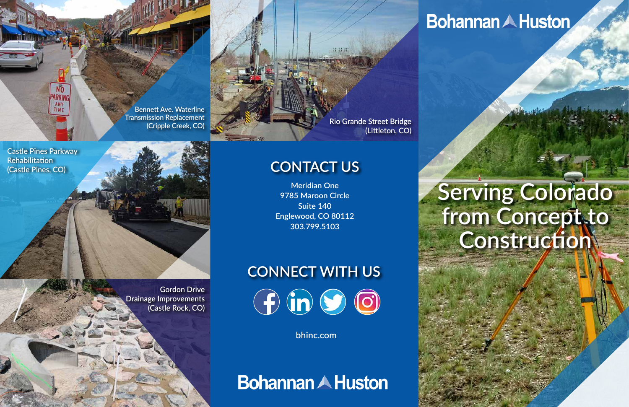**Meridian One 9785 Maroon Circle Suite 140 Englewood, CO 80112 303.799.5103**

**Gordon Drive Drainage Improvements (Castle Rock, CO)**

# **CONNECT WITH US**   $\bigoplus$   $\bigodot$   $\bigodot$

# **Bohannan A Huston**

**Bennett Ave. Waterline Transmission Replacement**

#### **(Cripple Creek, CO) Rio Grande Street Bridge (Littleton, CO)**

**bhinc.com**

**Bohannan A Huston** 

## **CONTACT US**

**Castle Pines Parkway Rehabilitation (Castle Pines, CO)**

PARKING ANY TIME

# **Serving Colorado**  from Concept<sub>sto</sub> **Construction**